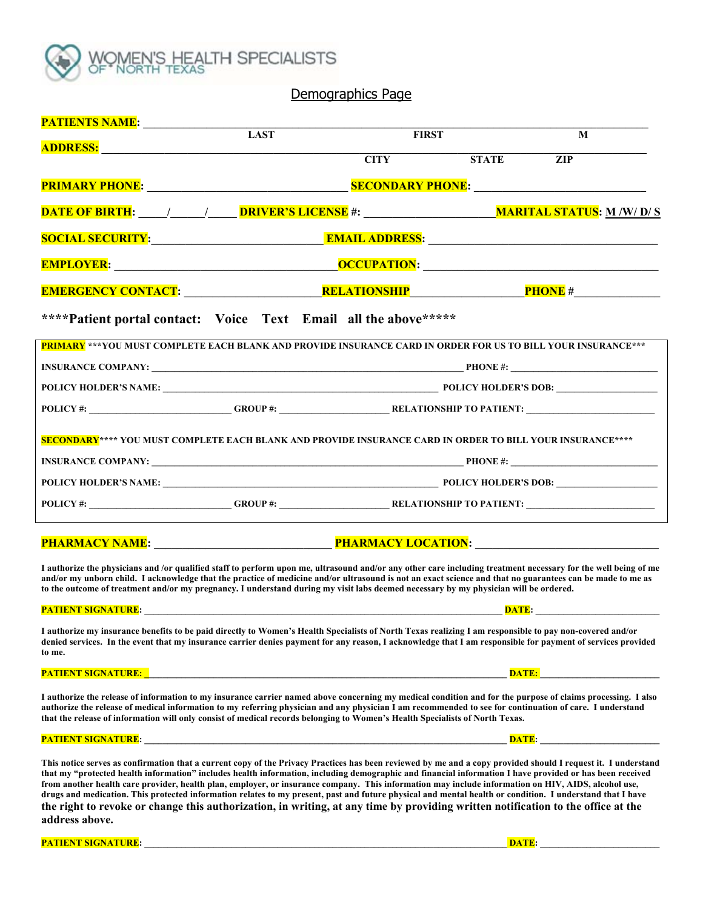

#### Demographics Page

| <b>PATIENTS NAME:</b>                                                                                                                                                                                                                                                                                                                                                                                                                                               |                                                                  |             |                   |            |
|---------------------------------------------------------------------------------------------------------------------------------------------------------------------------------------------------------------------------------------------------------------------------------------------------------------------------------------------------------------------------------------------------------------------------------------------------------------------|------------------------------------------------------------------|-------------|-------------------|------------|
| <b>ADDRESS:</b>                                                                                                                                                                                                                                                                                                                                                                                                                                                     | <b>LAST</b>                                                      |             | <b>FIRST</b><br>M |            |
|                                                                                                                                                                                                                                                                                                                                                                                                                                                                     |                                                                  | <b>CITY</b> | <b>STATE</b>      | <b>ZIP</b> |
|                                                                                                                                                                                                                                                                                                                                                                                                                                                                     |                                                                  |             |                   |            |
|                                                                                                                                                                                                                                                                                                                                                                                                                                                                     |                                                                  |             |                   |            |
| SOCIAL SECURITY: Research Maria Address: All Address: All Address: All Address: All Address: All Address: All A                                                                                                                                                                                                                                                                                                                                                     |                                                                  |             |                   |            |
|                                                                                                                                                                                                                                                                                                                                                                                                                                                                     |                                                                  |             |                   |            |
|                                                                                                                                                                                                                                                                                                                                                                                                                                                                     |                                                                  |             |                   |            |
| ****Patient portal contact: Voice Text Email all the above *****                                                                                                                                                                                                                                                                                                                                                                                                    |                                                                  |             |                   |            |
| PRIMARY *** YOU MUST COMPLETE EACH BLANK AND PROVIDE INSURANCE CARD IN ORDER FOR US TO BILL YOUR INSURANCE ***                                                                                                                                                                                                                                                                                                                                                      |                                                                  |             |                   |            |
|                                                                                                                                                                                                                                                                                                                                                                                                                                                                     |                                                                  |             |                   |            |
|                                                                                                                                                                                                                                                                                                                                                                                                                                                                     |                                                                  |             |                   |            |
|                                                                                                                                                                                                                                                                                                                                                                                                                                                                     |                                                                  |             |                   |            |
| SECONDARY**** YOU MUST COMPLETE EACH BLANK AND PROVIDE INSURANCE CARD IN ORDER TO BILL YOUR INSURANCE****                                                                                                                                                                                                                                                                                                                                                           |                                                                  |             |                   |            |
|                                                                                                                                                                                                                                                                                                                                                                                                                                                                     |                                                                  |             |                   |            |
|                                                                                                                                                                                                                                                                                                                                                                                                                                                                     |                                                                  |             |                   |            |
|                                                                                                                                                                                                                                                                                                                                                                                                                                                                     |                                                                  |             |                   |            |
|                                                                                                                                                                                                                                                                                                                                                                                                                                                                     |                                                                  |             |                   |            |
| I authorize the physicians and /or qualified staff to perform upon me, ultrasound and/or any other care including treatment necessary for the well being of me<br>and/or my unborn child. I acknowledge that the practice of medicine and/or ultrasound is not an exact science and that no guarantees can be made to me as<br>to the outcome of treatment and/or my pregnancy. I understand during my visit labs deemed necessary by my physician will be ordered. |                                                                  |             |                   |            |
| PATIENT SIGNATURE: the contract of the contract of the contract of the contract of the contract of the contract of the contract of the contract of the contract of the contract of the contract of the contract of the contrac                                                                                                                                                                                                                                      |                                                                  |             |                   | DATE:      |
| I authorize my insurance benefits to be paid directly to Women's Health Specialists of North Texas realizing I am responsible to pay non-covered and/or<br>denied services. In the event that my insurance carrier denies payment for any reason, I acknowledge that I am responsible for payment of services provided<br>to me.                                                                                                                                    |                                                                  |             |                   |            |
| <b>PATIENT SIGNATURE:</b>                                                                                                                                                                                                                                                                                                                                                                                                                                           | <u> 1980 - Jan James James Barnett, fransk politik (d. 1980)</u> |             |                   |            |
| I authorize the release of information to my insurance carrier named above concerning my medical condition and for the purpose of claims processing. I also<br>authorize the release of medical information to my referring physician and any physician I am recommended to see for continuation of care. I understand<br>that the release of information will only consist of medical records belonging to Women's Health Specialists of North Texas.              |                                                                  |             |                   |            |

**PATIENT SIGNATURE: \_\_\_\_\_\_\_\_\_\_\_\_\_\_\_\_\_\_\_\_\_\_\_\_\_\_\_\_\_\_\_\_\_\_\_\_\_\_\_\_\_\_\_\_\_\_\_\_\_\_\_\_\_\_\_\_\_\_\_\_\_\_\_\_\_\_\_\_\_\_\_\_\_\_\_\_\_\_\_ DATE: \_\_\_\_\_\_\_\_\_\_\_\_\_\_\_\_\_\_\_\_\_\_\_\_\_\_** 

**This notice serves as confirmation that a current copy of the Privacy Practices has been reviewed by me and a copy provided should I request it. I understand that my "protected health information" includes health information, including demographic and financial information I have provided or has been received from another health care provider, health plan, employer, or insurance company. This information may include information on HIV, AIDS, alcohol use, drugs and medication. This protected information relates to my present, past and future physical and mental health or condition. I understand that I have the right to revoke or change this authorization, in writing, at any time by providing written notification to the office at the address above.** 

**PATIENT SIGNATURE: \_\_\_\_\_\_\_\_\_\_\_\_\_\_\_\_\_\_\_\_\_\_\_\_\_\_\_\_\_\_\_\_\_\_\_\_\_\_\_\_\_\_\_\_\_\_\_\_\_\_\_\_\_\_\_\_\_\_\_\_\_\_\_\_\_\_\_\_\_\_\_\_\_\_\_\_\_\_\_ DATE: \_\_\_\_\_\_\_\_\_\_\_\_\_\_\_\_\_\_\_\_\_\_\_\_\_\_**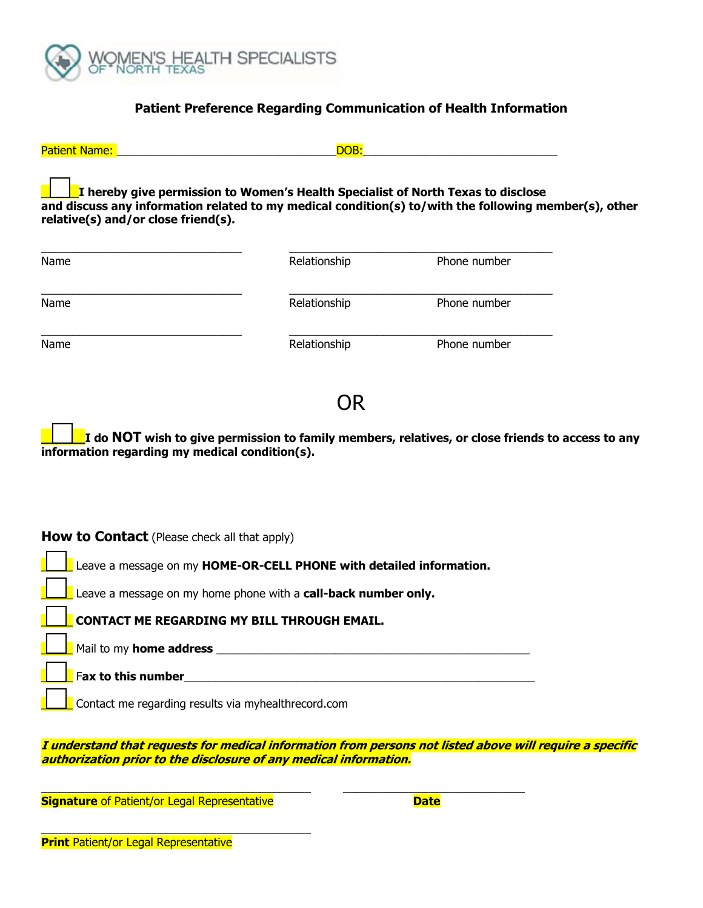

### **Patient Preference Regarding Communication of Health Information**

| <b>Patient Name:</b>                                | DOB:                                                                             |                                                                                                       |  |
|-----------------------------------------------------|----------------------------------------------------------------------------------|-------------------------------------------------------------------------------------------------------|--|
| relative(s) and/or close friend(s).                 | I hereby give permission to Women's Health Specialist of North Texas to disclose | and discuss any information related to my medical condition(s) to/with the following member(s), other |  |
| Name                                                | Relationship                                                                     | Phone number                                                                                          |  |
| Name                                                | Relationship                                                                     | Phone number                                                                                          |  |
| Name                                                | Relationship                                                                     | Phone number                                                                                          |  |
| information regarding my medical condition(s).      | OR                                                                               | I do NOT wish to give permission to family members, relatives, or close friends to access to any      |  |
| <b>How to Contact</b> (Please check all that apply) |                                                                                  |                                                                                                       |  |
|                                                     | Leave a message on my HOME-OR-CELL PHONE with detailed information.              |                                                                                                       |  |

Leave a message on my home phone with a **call-back number only.** 

\_\_\_\_\_ **CONTACT ME REGARDING MY BILL THROUGH EMAIL.**

Mail to my **home address and the set of the set of the set of the set of the set of the set of the set of the set of the set of the set of the set of the set of the set of the set of the set of the set of the set of the** 

\_\_\_\_\_ F**ax to this number**\_\_\_\_\_\_\_\_\_\_\_\_\_\_\_\_\_\_\_\_\_\_\_\_\_\_\_\_\_\_\_\_\_\_\_\_\_\_\_\_\_\_\_\_\_\_\_\_\_\_\_\_\_\_\_\_

\_\_\_\_\_ Contact me regarding results via myhealthrecord.com

**I understand that requests for medical information from persons not listed above will require a specific authorization prior to the disclosure of any medical information.** 

\_\_\_\_\_\_\_\_\_\_\_\_\_\_\_\_\_\_\_\_\_\_\_\_\_\_\_\_\_\_\_\_\_\_\_\_\_\_\_\_\_\_\_ \_\_\_\_\_\_\_\_\_\_\_\_\_\_\_\_\_\_\_\_\_\_\_\_\_\_\_\_\_

**Signature** of Patient/or Legal Representative **Date** 

\_\_\_\_\_\_\_\_\_\_\_\_\_\_\_\_\_\_\_\_\_\_\_\_\_\_\_\_\_\_\_\_\_\_\_\_\_\_\_\_\_\_\_

**Print** Patient/or Legal Representative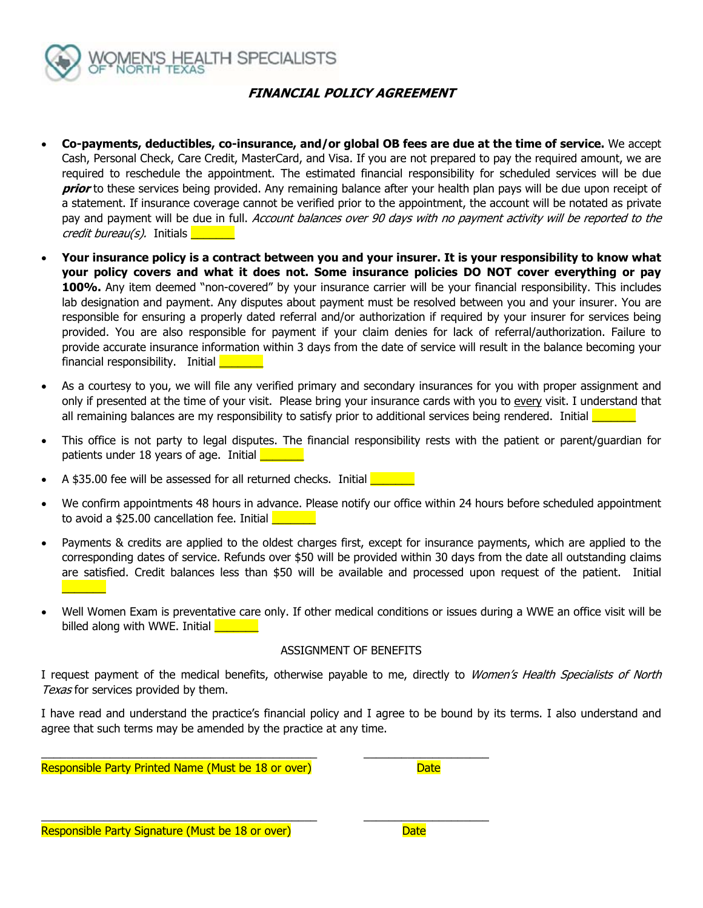

## **FINANCIAL POLICY AGREEMENT**

- **Co-payments, deductibles, co-insurance, and/or global OB fees are due at the time of service.** We accept Cash, Personal Check, Care Credit, MasterCard, and Visa. If you are not prepared to pay the required amount, we are required to reschedule the appointment. The estimated financial responsibility for scheduled services will be due **prior** to these services being provided. Any remaining balance after your health plan pays will be due upon receipt of a statement. If insurance coverage cannot be verified prior to the appointment, the account will be notated as private pay and payment will be due in full. Account balances over 90 days with no payment activity will be reported to the credit bureau(s). Initials **with the Container**
- **Your insurance policy is a contract between you and your insurer. It is your responsibility to know what your policy covers and what it does not. Some insurance policies DO NOT cover everything or pay 100%.** Any item deemed "non-covered" by your insurance carrier will be your financial responsibility. This includes lab designation and payment. Any disputes about payment must be resolved between you and your insurer. You are responsible for ensuring a properly dated referral and/or authorization if required by your insurer for services being provided. You are also responsible for payment if your claim denies for lack of referral/authorization. Failure to provide accurate insurance information within 3 days from the date of service will result in the balance becoming your financial responsibility. Initial
- As a courtesy to you, we will file any verified primary and secondary insurances for you with proper assignment and only if presented at the time of your visit. Please bring your insurance cards with you to every visit. I understand that all remaining balances are my responsibility to satisfy prior to additional services being rendered. Initial  $\Box$
- This office is not party to legal disputes. The financial responsibility rests with the patient or parent/guardian for patients under 18 years of age. Initial
- A \$35.00 fee will be assessed for all returned checks. Initial
- We confirm appointments 48 hours in advance. Please notify our office within 24 hours before scheduled appointment to avoid a \$25.00 cancellation fee. Initial
- Payments & credits are applied to the oldest charges first, except for insurance payments, which are applied to the corresponding dates of service. Refunds over \$50 will be provided within 30 days from the date all outstanding claims are satisfied. Credit balances less than \$50 will be available and processed upon request of the patient. Initial  $\overline{\phantom{a}}$
- Well Women Exam is preventative care only. If other medical conditions or issues during a WWE an office visit will be billed along with WWE. Initial

#### ASSIGNMENT OF BENEFITS

I request payment of the medical benefits, otherwise payable to me, directly to Women's Health Specialists of North Texas for services provided by them.

I have read and understand the practice's financial policy and I agree to be bound by its terms. I also understand and agree that such terms may be amended by the practice at any time.

\_\_\_\_\_\_\_\_\_\_\_\_\_\_\_\_\_\_\_\_\_\_\_\_\_\_\_\_\_\_\_\_\_\_\_\_\_\_\_\_\_\_\_\_ \_\_\_\_\_\_\_\_\_\_\_\_\_\_\_\_\_\_\_\_

\_\_\_\_\_\_\_\_\_\_\_\_\_\_\_\_\_\_\_\_\_\_\_\_\_\_\_\_\_\_\_\_\_\_\_\_\_\_\_\_\_\_\_\_ \_\_\_\_\_\_\_\_\_\_\_\_\_\_\_\_\_\_\_\_

Responsible Party Printed Name (Must be 18 or over) Network Bate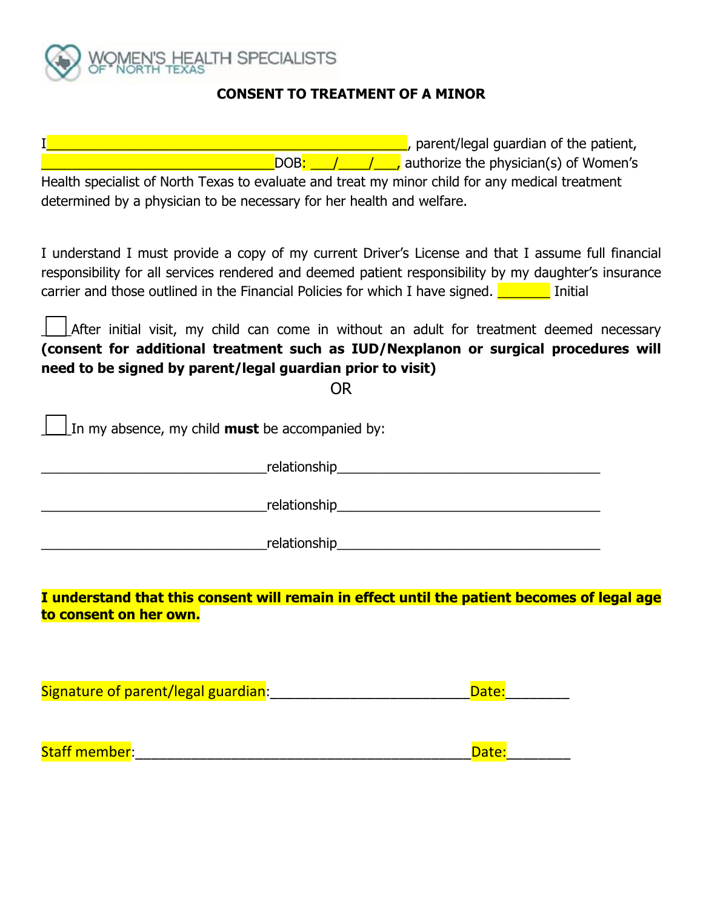

# **CONSENT TO TREATMENT OF A MINOR**

| $\mathbf{I}$<br>parent/legal guardian of the patient,<br>DOB: // // // authorize the physician(s) of Women's<br><u>a basa</u><br>Health specialist of North Texas to evaluate and treat my minor child for any medical treatment<br>determined by a physician to be necessary for her health and welfare.   |
|-------------------------------------------------------------------------------------------------------------------------------------------------------------------------------------------------------------------------------------------------------------------------------------------------------------|
|                                                                                                                                                                                                                                                                                                             |
| I understand I must provide a copy of my current Driver's License and that I assume full financial<br>responsibility for all services rendered and deemed patient responsibility by my daughter's insurance<br>carrier and those outlined in the Financial Policies for which I have signed. $\Box$ Initial |
| After initial visit, my child can come in without an adult for treatment deemed necessary<br>(consent for additional treatment such as IUD/Nexplanon or surgical procedures will<br>need to be signed by parent/legal guardian prior to visit)                                                              |
| <b>OR</b>                                                                                                                                                                                                                                                                                                   |
| In my absence, my child <b>must</b> be accompanied by:                                                                                                                                                                                                                                                      |
|                                                                                                                                                                                                                                                                                                             |
| <u>relationship</u> and the contract of the contract of the contract of the contract of the contract of the contract of the contract of the contract of the contract of the contract of the contract of the contract of the contrac                                                                         |
|                                                                                                                                                                                                                                                                                                             |
| I understand that this consent will remain in effect until the patient becomes of legal age                                                                                                                                                                                                                 |
| to consent on her own.                                                                                                                                                                                                                                                                                      |
|                                                                                                                                                                                                                                                                                                             |
| Signature of parent/legal guardian: [19] [19] Signature of parent/legal guardian:<br>Date:                                                                                                                                                                                                                  |
|                                                                                                                                                                                                                                                                                                             |

Staff member:\_\_\_\_\_\_\_\_\_\_\_\_\_\_\_\_\_\_\_\_\_\_\_\_\_\_\_\_\_\_\_\_\_\_\_\_\_\_\_\_\_\_Date:\_\_\_\_\_\_\_\_